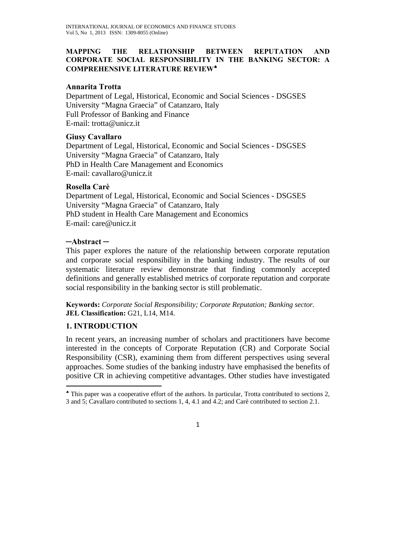### **MAPPING THE RELATIONSHIP BETWEEN REPUTATION AND CORPORATE SOCIAL RESPONSIBILITY IN THE BANKING SECTOR: A COMPREHENSIVE LITERATURE REVIEW**♠

### **Annarita Trotta**

Department of Legal, Historical, Economic and Social Sciences - DSGSES University "Magna Graecia" of Catanzaro, Italy Full Professor of Banking and Finance E-mail: trotta@unicz.it

### **Giusy Cavallaro**

Department of Legal, Historical, Economic and Social Sciences - DSGSES University "Magna Graecia" of Catanzaro, Italy PhD in Health Care Management and Economics E-mail: cavallaro@unicz.it

### **Rosella Carè**

Department of Legal, Historical, Economic and Social Sciences - DSGSES University "Magna Graecia" of Catanzaro, Italy PhD student in Health Care Management and Economics E-mail: care@unicz.it

### **─Abstract ─**

This paper explores the nature of the relationship between corporate reputation and corporate social responsibility in the banking industry. The results of our systematic literature review demonstrate that finding commonly accepted definitions and generally established metrics of corporate reputation and corporate social responsibility in the banking sector is still problematic.

**Keywords:** *Corporate Social Responsibility; Corporate Reputation; Banking sector.*  **JEL Classification:** G21, L14, M14.

## **1. INTRODUCTION**

In recent years, an increasing number of scholars and practitioners have become interested in the concepts of Corporate Reputation (CR) and Corporate Social Responsibility (CSR), examining them from different perspectives using several approaches. Some studies of the banking industry have emphasised the benefits of positive CR in achieving competitive advantages. Other studies have investigated

<sup>♠</sup> This paper was a cooperative effort of the authors. In particular, Trotta contributed to sections 2, 3 and 5; Cavallaro contributed to sections 1, 4, 4.1 and 4.2; and Carè contributed to section 2.1.

<sup>1</sup>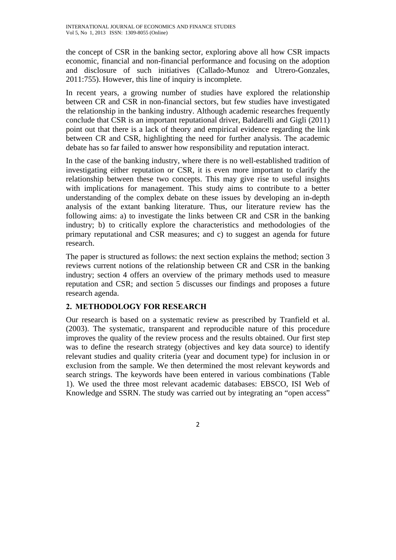the concept of CSR in the banking sector, exploring above all how CSR impacts economic, financial and non-financial performance and focusing on the adoption and disclosure of such initiatives (Callado-Munoz and Utrero-Gonzales, 2011:755). However, this line of inquiry is incomplete.

In recent years, a growing number of studies have explored the relationship between CR and CSR in non-financial sectors, but few studies have investigated the relationship in the banking industry. Although academic researches frequently conclude that CSR is an important reputational driver, Baldarelli and Gigli (2011) point out that there is a lack of theory and empirical evidence regarding the link between CR and CSR, highlighting the need for further analysis. The academic debate has so far failed to answer how responsibility and reputation interact.

In the case of the banking industry, where there is no well-established tradition of investigating either reputation or CSR, it is even more important to clarify the relationship between these two concepts. This may give rise to useful insights with implications for management. This study aims to contribute to a better understanding of the complex debate on these issues by developing an in-depth analysis of the extant banking literature. Thus, our literature review has the following aims: a) to investigate the links between CR and CSR in the banking industry; b) to critically explore the characteristics and methodologies of the primary reputational and CSR measures; and c) to suggest an agenda for future research.

The paper is structured as follows: the next section explains the method; section 3 reviews current notions of the relationship between CR and CSR in the banking industry; section 4 offers an overview of the primary methods used to measure reputation and CSR; and section 5 discusses our findings and proposes a future research agenda.

## **2. METHODOLOGY FOR RESEARCH**

Our research is based on a systematic review as prescribed by Tranfield et al. (2003). The systematic, transparent and reproducible nature of this procedure improves the quality of the review process and the results obtained. Our first step was to define the research strategy (objectives and key data source) to identify relevant studies and quality criteria (year and document type) for inclusion in or exclusion from the sample. We then determined the most relevant keywords and search strings. The keywords have been entered in various combinations (Table 1). We used the three most relevant academic databases: EBSCO, ISI Web of Knowledge and SSRN. The study was carried out by integrating an "open access"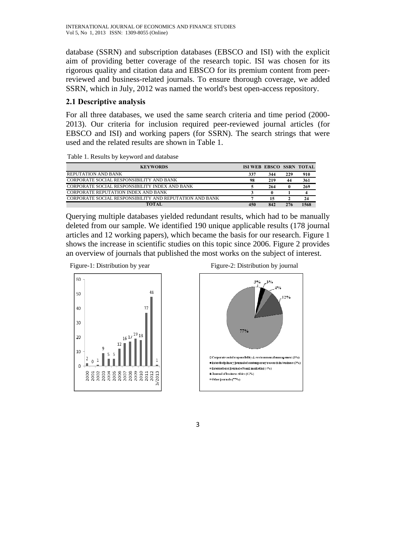database (SSRN) and subscription databases (EBSCO and ISI) with the explicit aim of providing better coverage of the research topic. ISI was chosen for its rigorous quality and citation data and EBSCO for its premium content from peerreviewed and business-related journals. To ensure thorough coverage, we added SSRN, which in July, 2012 was named the world's best open-access repository.

## **2.1 Descriptive analysis**

For all three databases, we used the same search criteria and time period (2000- 2013). Our criteria for inclusion required peer-reviewed journal articles (for EBSCO and ISI) and working papers (for SSRN). The search strings that were used and the related results are shown in Table 1.

| Table 1. Results by keyword and database |  |  |  |  |  |
|------------------------------------------|--|--|--|--|--|
|------------------------------------------|--|--|--|--|--|

| <b>KEYWORDS</b>                                         | <b>ISI WEB EBSCO SSRN TOTAL</b> |     |     |      |
|---------------------------------------------------------|---------------------------------|-----|-----|------|
| <b>REPUTATION AND BANK</b>                              | 337                             | 344 | 229 | 910  |
| CORPORATE SOCIAL RESPONSIBILITY AND BANK                | 98                              | 219 | 44  | 361  |
| CORPORATE SOCIAL RESPONSIBILITY INDEX AND BANK          |                                 | 264 |     | 269  |
| CORPORATE REPUTATION INDEX AND BANK                     |                                 |     |     |      |
| CORPORATE SOCIAL RESPONSIBILITY AND REPUTATION AND BANK |                                 | 15  |     | 24   |
|                                                         | 450                             | 842 | 276 | 1568 |

Querying multiple databases yielded redundant results, which had to be manually deleted from our sample. We identified 190 unique applicable results (178 journal articles and 12 working papers), which became the basis for our research. Figure 1 shows the increase in scientific studies on this topic since 2006. Figure 2 provides an overview of journals that published the most works on the subject of interest.





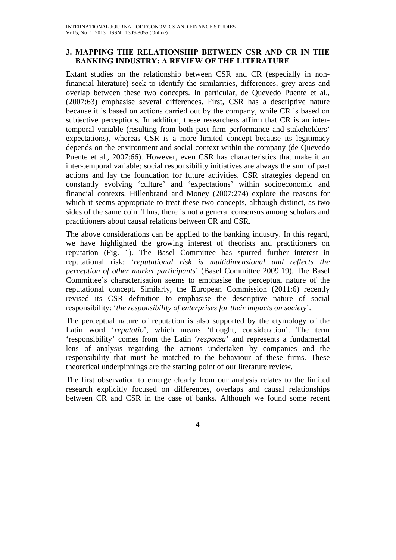## **3. MAPPING THE RELATIONSHIP BETWEEN CSR AND CR IN THE BANKING INDUSTRY: A REVIEW OF THE LITERATURE**

Extant studies on the relationship between CSR and CR (especially in nonfinancial literature) seek to identify the similarities, differences, grey areas and overlap between these two concepts. In particular, de Quevedo Puente et al., (2007:63) emphasise several differences. First, CSR has a descriptive nature because it is based on actions carried out by the company, while CR is based on subjective perceptions*.* In addition, these researchers affirm that CR is an intertemporal variable (resulting from both past firm performance and stakeholders' expectations), whereas CSR is a more limited concept because its legitimacy depends on the environment and social context within the company (de Quevedo Puente et al., 2007:66). However, even CSR has characteristics that make it an inter-temporal variable; social responsibility initiatives are always the sum of past actions and lay the foundation for future activities. CSR strategies depend on constantly evolving 'culture' and 'expectations' within socioeconomic and financial contexts. Hillenbrand and Money (2007:274) explore the reasons for which it seems appropriate to treat these two concepts, although distinct, as two sides of the same coin. Thus, there is not a general consensus among scholars and practitioners about causal relations between CR and CSR.

The above considerations can be applied to the banking industry. In this regard, we have highlighted the growing interest of theorists and practitioners on reputation (Fig. 1). The Basel Committee has spurred further interest in reputational risk: '*reputational risk is multidimensional and reflects the perception of other market participants*' (Basel Committee 2009:19). The Basel Committee's characterisation seems to emphasise the perceptual nature of the reputational concept. Similarly, the European Commission (2011:6) recently revised its CSR definition to emphasise the descriptive nature of social responsibility: '*the responsibility of enterprises for their impacts on society*'.

The perceptual nature of reputation is also supported by the etymology of the Latin word '*reputatio*', which means 'thought, consideration'. The term 'responsibility' comes from the Latin '*responsu*' and represents a fundamental lens of analysis regarding the actions undertaken by companies and the responsibility that must be matched to the behaviour of these firms. These theoretical underpinnings are the starting point of our literature review.

The first observation to emerge clearly from our analysis relates to the limited research explicitly focused on differences, overlaps and causal relationships between CR and CSR in the case of banks. Although we found some recent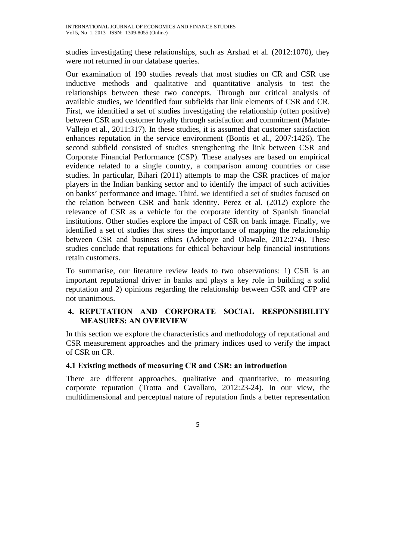studies investigating these relationships, such as Arshad et al. (2012:1070), they were not returned in our database queries.

Our examination of 190 studies reveals that most studies on CR and CSR use inductive methods and qualitative and quantitative analysis to test the relationships between these two concepts. Through our critical analysis of available studies, we identified four subfields that link elements of CSR and CR. First, we identified a set of studies investigating the relationship (often positive) between CSR and customer loyalty through satisfaction and commitment (Matute-Vallejo et al., 2011:317). In these studies, it is assumed that customer satisfaction enhances reputation in the service environment (Bontis et al., 2007:1426). The second subfield consisted of studies strengthening the link between CSR and Corporate Financial Performance (CSP). These analyses are based on empirical evidence related to a single country, a comparison among countries or case studies. In particular, Bihari (2011) attempts to map the CSR practices of major players in the Indian banking sector and to identify the impact of such activities on banks' performance and image. Third, we identified a set of studies focused on the relation between CSR and bank identity. Perez et al. (2012) explore the relevance of CSR as a vehicle for the corporate identity of Spanish financial institutions. Other studies explore the impact of CSR on bank image. Finally, we identified a set of studies that stress the importance of mapping the relationship between CSR and business ethics (Adeboye and Olawale, 2012:274). These studies conclude that reputations for ethical behaviour help financial institutions retain customers.

To summarise, our literature review leads to two observations: 1) CSR is an important reputational driver in banks and plays a key role in building a solid reputation and 2) opinions regarding the relationship between CSR and CFP are not unanimous.

## **4. REPUTATION AND CORPORATE SOCIAL RESPONSIBILITY MEASURES: AN OVERVIEW**

In this section we explore the characteristics and methodology of reputational and CSR measurement approaches and the primary indices used to verify the impact of CSR on CR.

## **4.1 Existing methods of measuring CR and CSR: an introduction**

There are different approaches, qualitative and quantitative, to measuring corporate reputation (Trotta and Cavallaro, 2012:23-24). In our view, the multidimensional and perceptual nature of reputation finds a better representation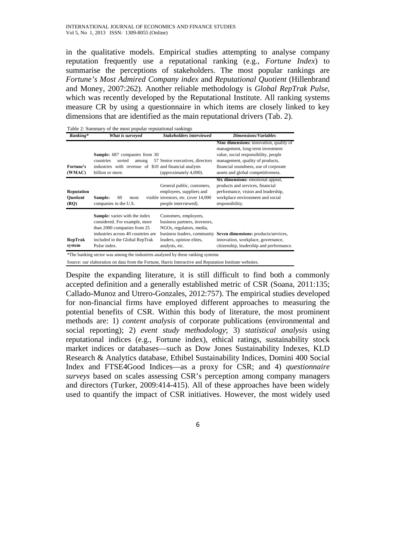in the qualitative models. Empirical studies attempting to analyse company reputation frequently use a reputational ranking (e.g., *Fortune Index*) to summarise the perceptions of stakeholders. The most popular rankings are *Fortune's Most Admired Company index* and *Reputational Quotient* (Hillenbrand and Money, 2007:262)*.* Another reliable methodology is *Global RepTrak Pulse,*  which was recently developed by the Reputational Institute. All ranking systems measure CR by using a questionnaire in which items are closely linked to key dimensions that are identified as the main reputational drivers (Tab. 2).

| Ranking*                              | What is surveyed                                                                                                                                                                      | Stakeholders interviewed                                                                                                         | <b>Dimensions/Variables</b>                                                                                                                                                                                                            |
|---------------------------------------|---------------------------------------------------------------------------------------------------------------------------------------------------------------------------------------|----------------------------------------------------------------------------------------------------------------------------------|----------------------------------------------------------------------------------------------------------------------------------------------------------------------------------------------------------------------------------------|
| <b>Fortune's</b><br>(WMAC)            | <b>Sample:</b> 687 companies from 30<br>countries<br>sorted<br>among<br>industries with revenue of \$10 and financial analysts<br>billion or more.                                    | 57 Senior executives, directors<br>(approximately 4,000).                                                                        | Nine dimensions: innovation, quality of<br>management, long-term investment<br>value, social responsibility, people<br>management, quality of products,<br>financial soundness, use of corporate<br>assets and global competitiveness. |
| Reputation<br><b>Ouotient</b><br>(RO) | Sample:<br>60<br>most<br>companies in the U.S.                                                                                                                                        | General public, customers,<br>employees, suppliers and<br>visible investors, etc. (over 14,000)<br>people interviewed).          | Six dimensions: emotional appeal,<br>products and services, financial<br>performance, vision and leadership,<br>workplace environment and social<br>responsibility.                                                                    |
| RepTrak<br>system                     | Sample: varies with the index<br>considered. For example, more<br>than 2000 companies from 25<br>industries across 40 countries are<br>included in the Global RepTrak<br>Pulse index. | Customers, employees,<br>business partners, investors,<br>NGOs, regulators, media,<br>leaders, opinion elites,<br>analysts, etc. | business leaders, community Seven dimensions: products/services,<br>innovation, workplace, governance,<br>citizenship, leadership and performance.                                                                                     |

Source: our elaboration on data from the Fortune, Harris Interactive and Reputation Institute websites.

Despite the expanding literature, it is still difficult to find both a commonly accepted definition and a generally established metric of CSR (Soana, 2011:135; Callado-Munoz and Utrero-Gonzales, 2012:757). The empirical studies developed for non-financial firms have employed different approaches to measuring the potential benefits of CSR. Within this body of literature, the most prominent methods are: 1) *content analysis* of corporate publications (environmental and social reporting); 2) *event study methodology*; 3) *statistical analysis* using reputational indices (e.g., Fortune index), ethical ratings, sustainability stock market indices or databases—such as Dow Jones Sustainability Indexes, KLD Research & Analytics database, Ethibel Sustainability Indices, Domini 400 Social Index and FTSE4Good Indices—as a proxy for CSR; and 4) *questionnaire surveys* based on scales assessing CSR's perception among company managers and directors (Turker, 2009:414-415). All of these approaches have been widely used to quantify the impact of CSR initiatives. However, the most widely used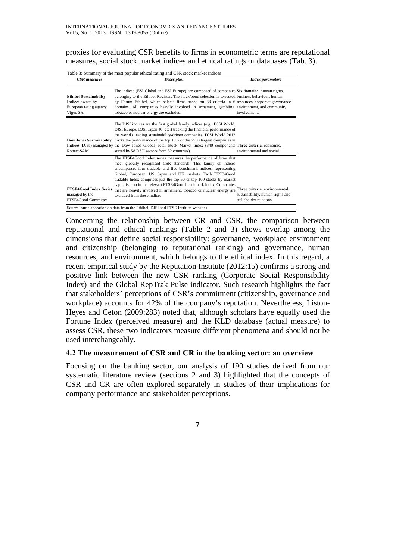proxies for evaluating CSR benefits to firms in econometric terms are reputational measures, social stock market indices and ethical ratings or databases (Tab. 3).

Table 3: Summary of the most popular ethical rating and CSR stock market indices

| <b>CSR</b> measures                                                                      | <b>Description</b>                                                                                                                                                                                                                                                                                                                                                                                                                                                                                                                                           | <b>Index parameters</b>                                    |
|------------------------------------------------------------------------------------------|--------------------------------------------------------------------------------------------------------------------------------------------------------------------------------------------------------------------------------------------------------------------------------------------------------------------------------------------------------------------------------------------------------------------------------------------------------------------------------------------------------------------------------------------------------------|------------------------------------------------------------|
| <b>Ethibel Sustainability</b><br>Indices owned by<br>European rating agency<br>Vigeo SA. | The indices (ESI Global and ESI Europe) are composed of companies Six domains: human rights,<br>belonging to the Ethibel Register. The stock/bond selection is executed business behaviour, human<br>by Forum Ethibel, which selects firms based on 38 criteria in 6 resources, corporate governance,<br>domains. All companies heavily involved in armament, gambling, environment, and community<br>tobacco or nuclear energy are excluded.                                                                                                                | involvement.                                               |
| <b>Dow Jones Sustainability</b><br>RobecoSAM                                             | The DJSI indices are the first global family indices (e.g., DJSI World,<br>DJSI Europe, DJSI Japan 40, etc.) tracking the financial performance of<br>the world's leading sustainability-driven companies. DJSI World 2012<br>tracks the performance of the top 10% of the 2500 largest companies in<br>Indices (DJSI) managed by the Dow Jones Global Total Stock Market Index (340 components Three criteria; economic,<br>sorted by 58 DSJI sectors from 52 countries).                                                                                   | environmental and social.                                  |
| <b>FTSE4Good Index Series</b><br>managed by the<br>FTSE4Good Committee                   | The FTSE4Good Index series measures the performance of firms that<br>meet globally recognised CSR standards. This family of indices<br>encompasses four tradable and five benchmark indices, representing<br>Global, European, US, Japan and UK markets. Each FTSE4Good<br>tradable Index comprises just the top 50 or top 100 stocks by market<br>capitalisation in the relevant FTSE4Good benchmark index. Companies<br>that are heavily involved in armament, tobacco or nuclear energy are Three criteria: environmental<br>excluded from these indices. | sustainability, human rights and<br>stakeholder relations. |

Concerning the relationship between CR and CSR, the comparison between reputational and ethical rankings (Table 2 and 3) shows overlap among the dimensions that define social responsibility: governance, workplace environment and citizenship (belonging to reputational ranking) and governance, human resources, and environment, which belongs to the ethical index. In this regard, a recent empirical study by the Reputation Institute (2012:15) confirms a strong and positive link between the new CSR ranking (Corporate Social Responsibility Index) and the Global RepTrak Pulse indicator. Such research highlights the fact that stakeholders' perceptions of CSR's commitment (citizenship, governance and workplace) accounts for 42% of the company's reputation. Nevertheless, Liston-Heyes and Ceton (2009:283) noted that, although scholars have equally used the Fortune Index (perceived measure) and the KLD database (actual measure) to assess CSR, these two indicators measure different phenomena and should not be used interchangeably.

#### **4.2 The measurement of CSR and CR in the banking sector: an overview**

Focusing on the banking sector, our analysis of 190 studies derived from our systematic literature review (sections 2 and 3) highlighted that the concepts of CSR and CR are often explored separately in studies of their implications for company performance and stakeholder perceptions.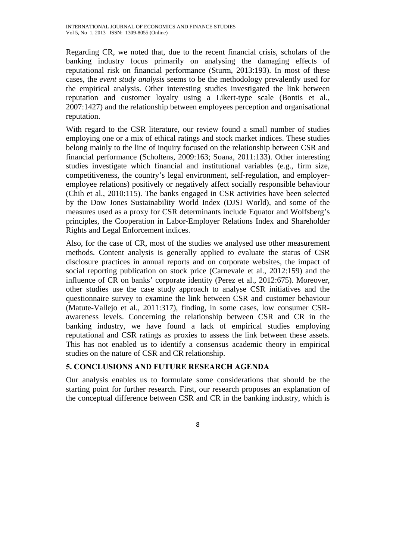Regarding CR, we noted that, due to the recent financial crisis, scholars of the banking industry focus primarily on analysing the damaging effects of reputational risk on financial performance (Sturm, 2013:193). In most of these cases, the *event study analysis* seems to be the methodology prevalently used for the empirical analysis. Other interesting studies investigated the link between reputation and customer loyalty using a Likert-type scale (Bontis et al., 2007:1427) and the relationship between employees perception and organisational reputation.

With regard to the CSR literature, our review found a small number of studies employing one or a mix of ethical ratings and stock market indices. These studies belong mainly to the line of inquiry focused on the relationship between CSR and financial performance (Scholtens, 2009:163; Soana, 2011:133). Other interesting studies investigate which financial and institutional variables (e.g., firm size, competitiveness, the country's legal environment, self-regulation, and employeremployee relations) positively or negatively affect socially responsible behaviour (Chih et al., 2010:115). The banks engaged in CSR activities have been selected by the Dow Jones Sustainability World Index (DJSI World), and some of the measures used as a proxy for CSR determinants include Equator and Wolfsberg's principles, the Cooperation in Labor-Employer Relations Index and Shareholder Rights and Legal Enforcement indices.

Also, for the case of CR, most of the studies we analysed use other measurement methods. Content analysis is generally applied to evaluate the status of CSR disclosure practices in annual reports and on corporate websites, the impact of social reporting publication on stock price (Carnevale et al., 2012:159) and the influence of CR on banks' corporate identity (Perez et al., 2012:675). Moreover, other studies use the case study approach to analyse CSR initiatives and the questionnaire survey to examine the link between CSR and customer behaviour (Matute-Vallejo et al., 2011:317), finding, in some cases, low consumer CSRawareness levels. Concerning the relationship between CSR and CR in the banking industry, we have found a lack of empirical studies employing reputational and CSR ratings as proxies to assess the link between these assets. This has not enabled us to identify a consensus academic theory in empirical studies on the nature of CSR and CR relationship.

## **5. CONCLUSIONS AND FUTURE RESEARCH AGENDA**

Our analysis enables us to formulate some considerations that should be the starting point for further research. First, our research proposes an explanation of the conceptual difference between CSR and CR in the banking industry, which is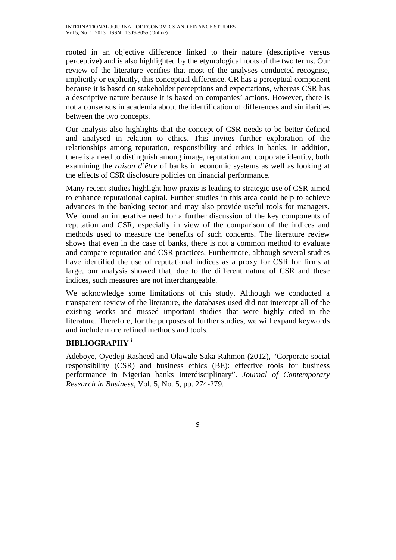rooted in an objective difference linked to their nature (descriptive versus perceptive) and is also highlighted by the etymological roots of the two terms. Our review of the literature verifies that most of the analyses conducted recognise, implicitly or explicitly, this conceptual difference. CR has a perceptual component because it is based on stakeholder perceptions and expectations, whereas CSR has a descriptive nature because it is based on companies' actions. However, there is not a consensus in academia about the identification of differences and similarities between the two concepts.

Our analysis also highlights that the concept of CSR needs to be better defined and analysed in relation to ethics. This invites further exploration of the relationships among reputation, responsibility and ethics in banks. In addition, there is a need to distinguish among image, reputation and corporate identity, both examining the *raison d'être* of banks in economic systems as well as looking at the effects of CSR disclosure policies on financial performance.

Many recent studies highlight how praxis is leading to strategic use of CSR aimed to enhance reputational capital. Further studies in this area could help to achieve advances in the banking sector and may also provide useful tools for managers. We found an imperative need for a further discussion of the key components of reputation and CSR, especially in view of the comparison of the indices and methods used to measure the benefits of such concerns. The literature review shows that even in the case of banks, there is not a common method to evaluate and compare reputation and CSR practices. Furthermore, although several studies have identified the use of reputational indices as a proxy for CSR for firms at large, our analysis showed that, due to the different nature of CSR and these indices, such measures are not interchangeable.

We acknowledge some limitations of this study. Although we conducted a transparent review of the literature, the databases used did not intercept all of the existing works and missed important studies that were highly cited in the literature. Therefore, for the purposes of further studies, we will expand keywords and include more refined methods and tools.

# **BIBLIOGRAPHY <sup>i</sup>**

Adeboye, Oyedeji Rasheed and Olawale Saka Rahmon (2012), "Corporate social responsibility (CSR) and business ethics (BE): effective tools for business performance in Nigerian banks Interdisciplinary". *Journal of Contemporary Research in Business*, Vol. 5, No. 5, pp. 274-279.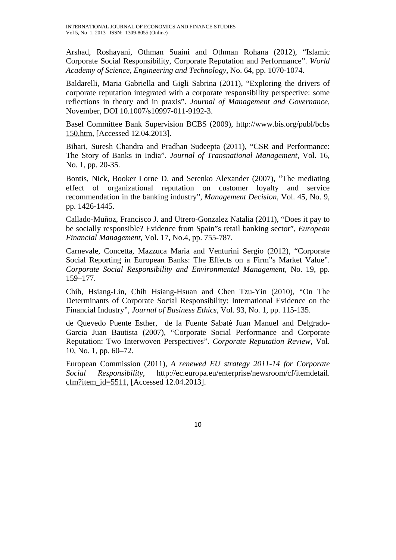Arshad, Roshayani, Othman Suaini and Othman Rohana (2012), "Islamic Corporate Social Responsibility, Corporate Reputation and Performance". *World Academy of Science, Engineering and Technology*, No. 64, pp. 1070-1074.

Baldarelli, Maria Gabriella and Gigli Sabrina (2011), "Exploring the drivers of corporate reputation integrated with a corporate responsibility perspective: some reflections in theory and in praxis". *Journal of Management and Governance*, November, DOI 10.1007/s10997-011-9192-3.

Basel Committee Bank Supervision BCBS (2009), http://www.bis.org/publ/bcbs 150.htm, [Accessed 12.04.2013].

Bihari, Suresh Chandra and Pradhan Sudeepta (2011), "CSR and Performance: The Story of Banks in India". *Journal of Transnational Management,* Vol. 16, No. 1, pp. 20-35.

Bontis, Nick, Booker Lorne D. and Serenko Alexander (2007), "The mediating effect of organizational reputation on customer loyalty and service recommendation in the banking industry"*, Management Decision,* Vol. 45, No. 9, pp. 1426-1445.

Callado-Muñoz, Francisco J. and Utrero-Gonzalez Natalia (2011), "Does it pay to be socially responsible? Evidence from Spain"s retail banking sector", *European Financial Management*, Vol. 17, No.4, pp. 755-787.

Carnevale, Concetta, Mazzuca Maria and Venturini Sergio (2012), "Corporate Social Reporting in European Banks: The Effects on a Firm"s Market Value". *Corporate Social Responsibility and Environmental Management,* No. 19, pp. 159–177.

Chih, Hsiang-Lin, Chih Hsiang-Hsuan and Chen Tzu-Yin (2010), "On The Determinants of Corporate Social Responsibility: International Evidence on the Financial Industry", *Journal of Business Ethics*, Vol. 93, No. 1, pp. 115-135.

de Quevedo Puente Esther, de la Fuente Sabatè Juan Manuel and Delgrado-Garcia Juan Bautista (2007), "Corporate Social Performance and Corporate Reputation: Two Interwoven Perspectives". *Corporate Reputation Review*, Vol. 10, No. 1, pp. 60–72.

European Commission (2011), *A renewed EU strategy 2011-14 for Corporate Social Responsibility*, http://ec.europa.eu/enterprise/newsroom/cf/itemdetail. cfm?item\_id=5511, [Accessed 12.04.2013].